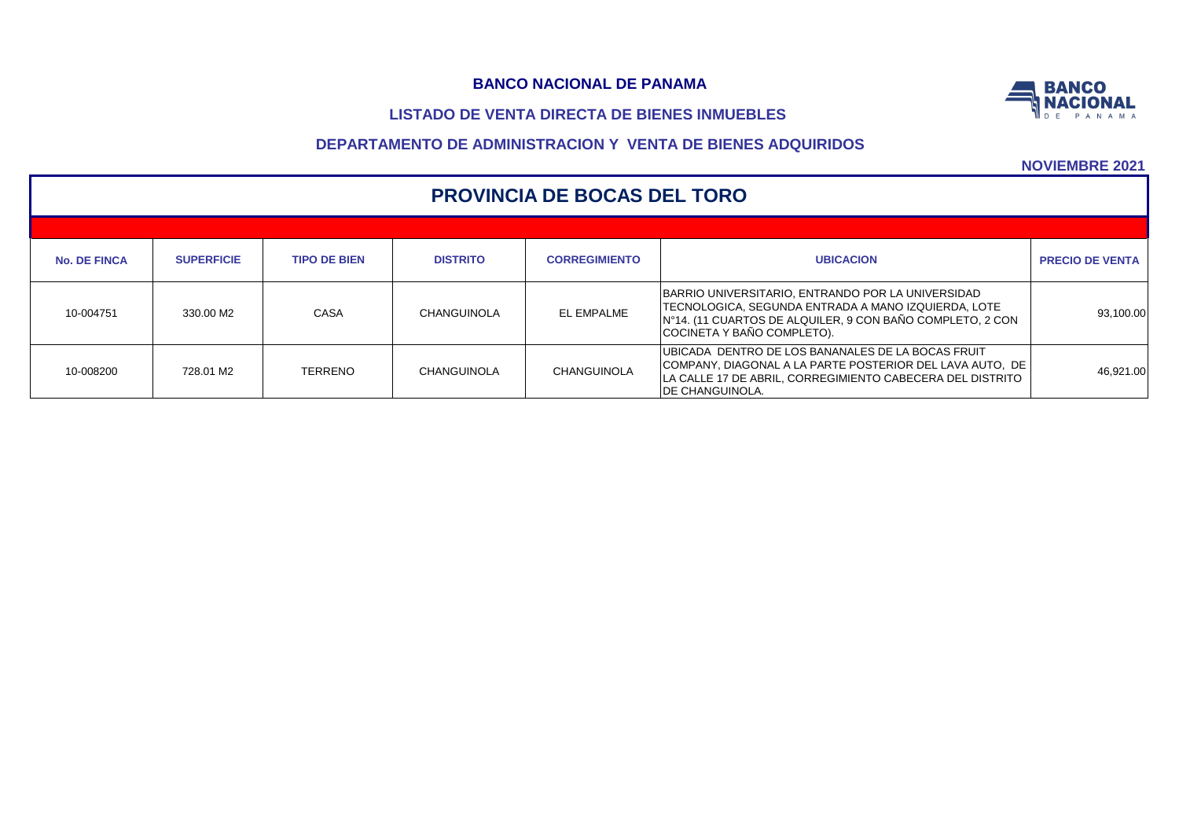# **LISTADO DE VENTA DIRECTA DE BIENES INMUEBLES**



|                     | <b>PROVINCIA DE BOCAS DEL TORO</b> |                     |                    |                      |                                                                                                                                                                                                       |                        |  |  |  |  |  |  |
|---------------------|------------------------------------|---------------------|--------------------|----------------------|-------------------------------------------------------------------------------------------------------------------------------------------------------------------------------------------------------|------------------------|--|--|--|--|--|--|
|                     |                                    |                     |                    |                      |                                                                                                                                                                                                       |                        |  |  |  |  |  |  |
| <b>No. DE FINCA</b> | <b>SUPERFICIE</b>                  | <b>TIPO DE BIEN</b> | <b>DISTRITO</b>    | <b>CORREGIMIENTO</b> | <b>UBICACION</b>                                                                                                                                                                                      | <b>PRECIO DE VENTA</b> |  |  |  |  |  |  |
| 10-004751           | 330.00 M2                          | CASA                | <b>CHANGUINOLA</b> | EL EMPALME           | BARRIO UNIVERSITARIO, ENTRANDO POR LA UNIVERSIDAD<br>ITECNOLOGICA. SEGUNDA ENTRADA A MANO IZQUIERDA. LOTE<br>IN°14. (11 CUARTOS DE ALQUILER, 9 CON BAÑO COMPLETO, 2 CON<br>COCINETA Y BAÑO COMPLETO). | 93,100.00              |  |  |  |  |  |  |
| 10-008200           | 728.01 M2                          | <b>TERRENO</b>      | CHANGUINOLA        | CHANGUINOLA          | UBICADA DENTRO DE LOS BANANALES DE LA BOCAS FRUIT<br>COMPANY, DIAGONAL A LA PARTE POSTERIOR DEL LAVA AUTO, DE<br>LA CALLE 17 DE ABRIL. CORREGIMIENTO CABECERA DEL DISTRITO<br><b>IDE CHANGUINOLA.</b> | 46.921.00              |  |  |  |  |  |  |

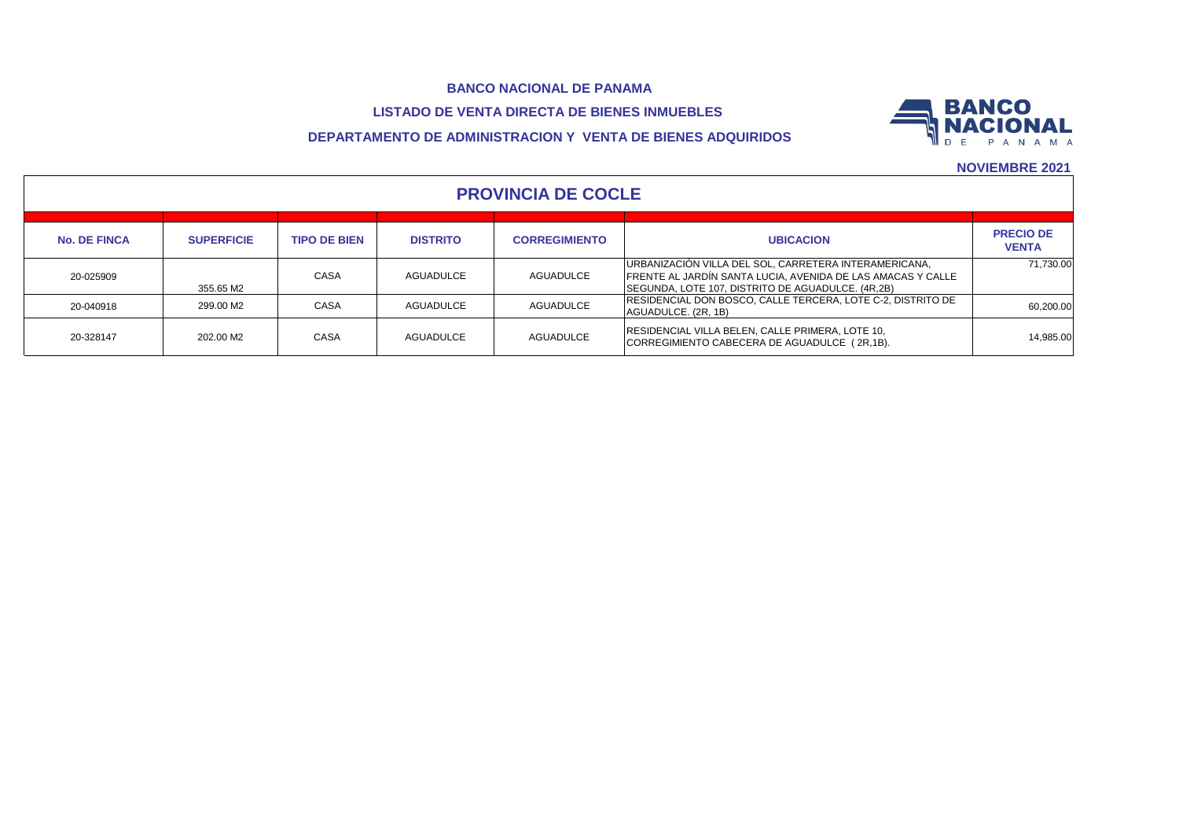# **BANCO NACIONAL DE PANAMA LISTADO DE VENTA DIRECTA DE BIENES INMUEBLES**



# **DEPARTAMENTO DE ADMINISTRACION Y VENTA DE BIENES ADQUIRIDOS**

| <b>PROVINCIA DE COCLE</b> |                   |                     |                 |                      |                                                                                                                                                                           |                                  |  |  |  |  |  |
|---------------------------|-------------------|---------------------|-----------------|----------------------|---------------------------------------------------------------------------------------------------------------------------------------------------------------------------|----------------------------------|--|--|--|--|--|
| <b>No. DE FINCA</b>       | <b>SUPERFICIE</b> | <b>TIPO DE BIEN</b> | <b>DISTRITO</b> | <b>CORREGIMIENTO</b> | <b>UBICACION</b>                                                                                                                                                          | <b>PRECIO DE</b><br><b>VENTA</b> |  |  |  |  |  |
| 20-025909                 | 355.65 M2         | CASA                | AGUADULCE       | AGUADULCE            | URBANIZACIÓN VILLA DEL SOL, CARRETERA INTERAMERICANA,<br>FRENTE AL JARDÍN SANTA LUCIA, AVENIDA DE LAS AMACAS Y CALLE<br>SEGUNDA, LOTE 107, DISTRITO DE AGUADULCE. (4R,2B) | 71.730.00                        |  |  |  |  |  |
| 20-040918                 | 299.00 M2         | CASA                | AGUADULCE       | <b>AGUADULCE</b>     | RESIDENCIAL DON BOSCO, CALLE TERCERA, LOTE C-2, DISTRITO DE<br>AGUADULCE. (2R, 1B)                                                                                        | 60,200.00                        |  |  |  |  |  |
| 20-328147                 | 202.00 M2         | CASA                | AGUADULCE       | <b>AGUADULCE</b>     | RESIDENCIAL VILLA BELEN, CALLE PRIMERA, LOTE 10,<br>CORREGIMIENTO CABECERA DE AGUADULCE (2R,1B).                                                                          | 14.985.00                        |  |  |  |  |  |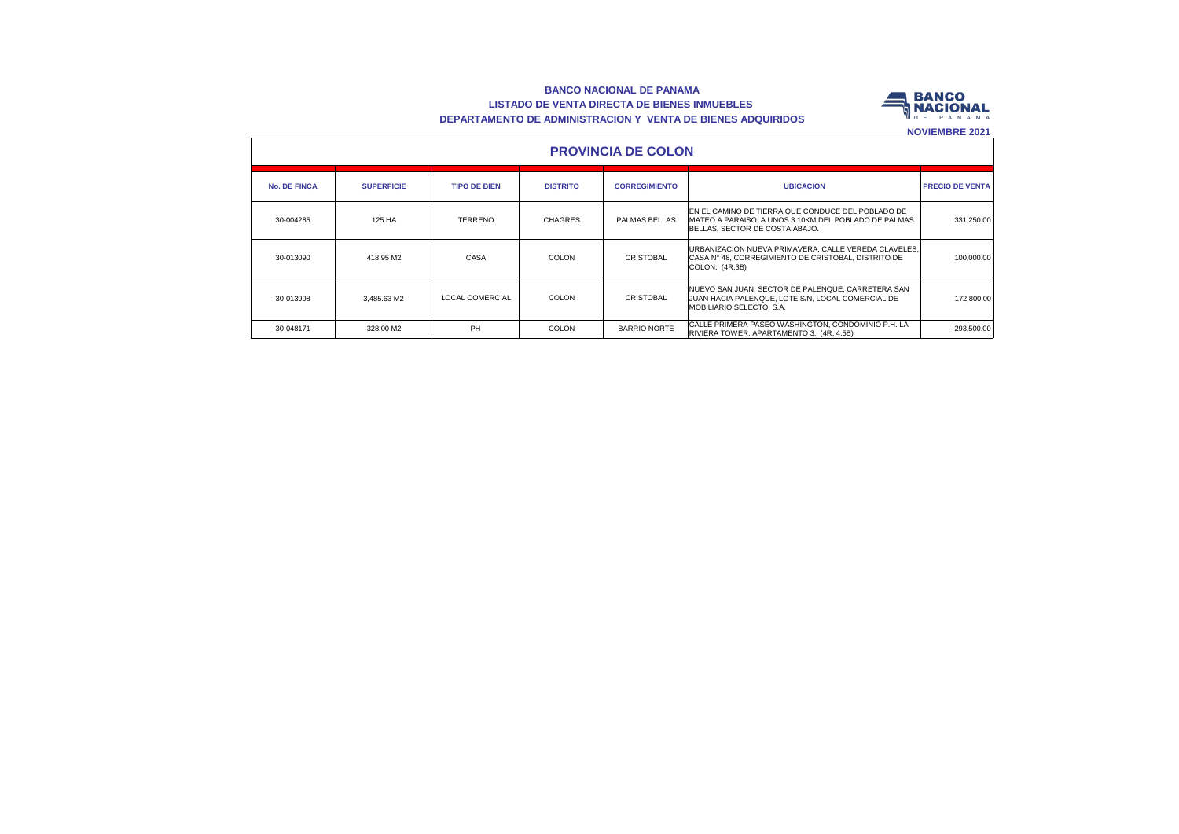#### **BANCO NACIONAL DE PANAMA LISTADO DE VENTA DIRECTA DE BIENES INMUEBLES DEPARTAMENTO DE ADMINISTRACION Y VENTA DE BIENES ADQUIRIDOS**



|                     | <b>PROVINCIA DE COLON</b> |                        |                 |                      |                                                                                                                                              |                        |  |  |  |  |  |
|---------------------|---------------------------|------------------------|-----------------|----------------------|----------------------------------------------------------------------------------------------------------------------------------------------|------------------------|--|--|--|--|--|
| <b>No. DE FINCA</b> | <b>SUPERFICIE</b>         | <b>TIPO DE BIEN</b>    | <b>DISTRITO</b> | <b>CORREGIMIENTO</b> | <b>UBICACION</b>                                                                                                                             | <b>PRECIO DE VENTA</b> |  |  |  |  |  |
| 30-004285           | 125 HA                    | <b>TERRENO</b>         | <b>CHAGRES</b>  | PALMAS BELLAS        | EN EL CAMINO DE TIERRA QUE CONDUCE DEL POBLADO DE<br>IMATEO A PARAISO. A UNOS 3.10KM DEL POBLADO DE PALMAS<br>BELLAS. SECTOR DE COSTA ABAJO. | 331.250.00             |  |  |  |  |  |
| 30-013090           | 418.95 M2                 | CASA                   | <b>COLON</b>    | <b>CRISTOBAL</b>     | URBANIZACION NUEVA PRIMAVERA, CALLE VEREDA CLAVELES,<br>CASA N° 48. CORREGIMIENTO DE CRISTOBAL. DISTRITO DE<br>COLON. (4R,3B)                | 100.000.00             |  |  |  |  |  |
| 30-013998           | 3.485.63 M2               | <b>LOCAL COMERCIAL</b> | <b>COLON</b>    | CRISTOBAL            | NUEVO SAN JUAN. SECTOR DE PALENQUE. CARRETERA SAN<br>JUAN HACIA PALENQUE, LOTE S/N, LOCAL COMERCIAL DE<br>MOBILIARIO SELECTO, S.A.           | 172,800.00             |  |  |  |  |  |
| 30-048171           | 328.00 M2                 | <b>PH</b>              | <b>COLON</b>    | <b>BARRIO NORTE</b>  | CALLE PRIMERA PASEO WASHINGTON, CONDOMINIO P.H. LA<br>RIVIERA TOWER, APARTAMENTO 3. (4R, 4.5B)                                               | 293.500.00             |  |  |  |  |  |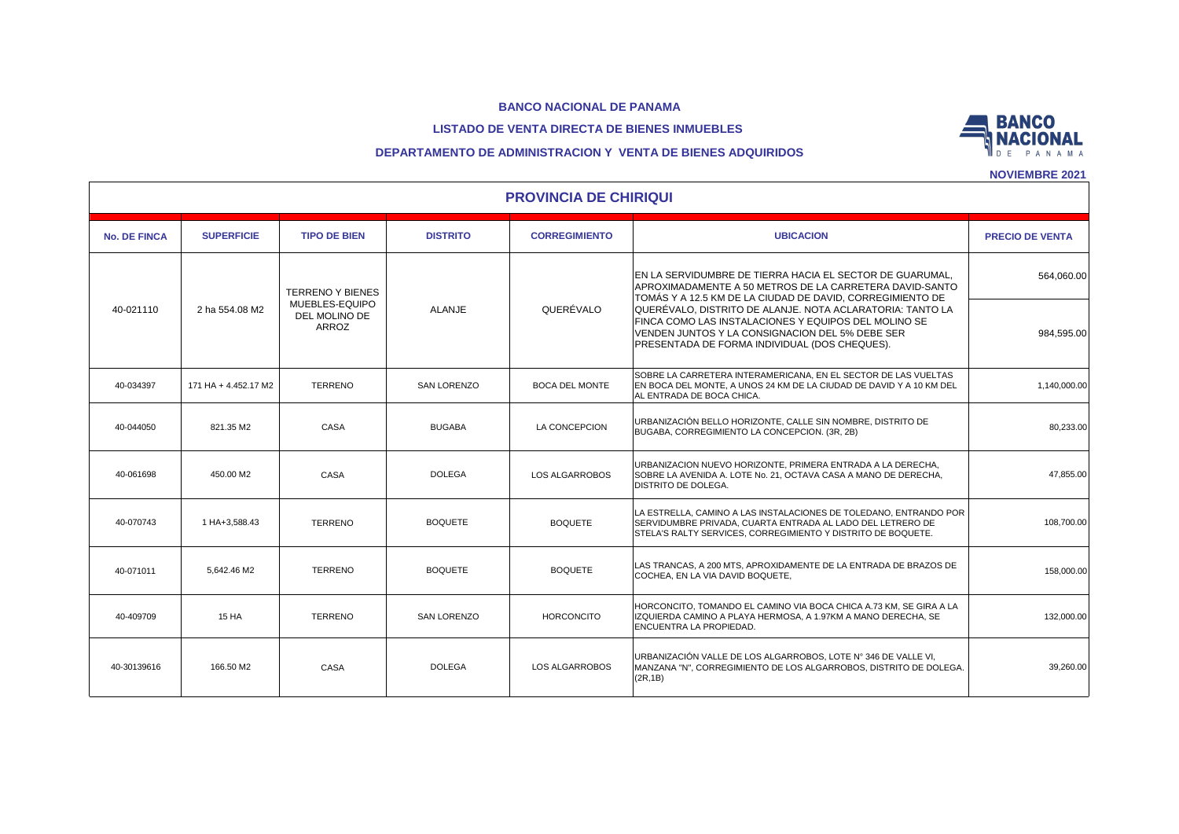### **LISTADO DE VENTA DIRECTA DE BIENES INMUEBLES**



## **DEPARTAMENTO DE ADMINISTRACION Y VENTA DE BIENES ADQUIRIDOS**

|                     | <b>PROVINCIA DE CHIRIQUI</b> |                                           |                    |                       |                                                                                                                                                                                                                       |                        |  |  |  |  |  |
|---------------------|------------------------------|-------------------------------------------|--------------------|-----------------------|-----------------------------------------------------------------------------------------------------------------------------------------------------------------------------------------------------------------------|------------------------|--|--|--|--|--|
| <b>No. DE FINCA</b> | <b>SUPERFICIE</b>            | <b>TIPO DE BIEN</b>                       | <b>DISTRITO</b>    | <b>CORREGIMIENTO</b>  | <b>UBICACION</b>                                                                                                                                                                                                      | <b>PRECIO DE VENTA</b> |  |  |  |  |  |
| 40-021110           |                              | <b>TERRENO Y BIENES</b><br>MUEBLES-EQUIPO |                    |                       | EN LA SERVIDUMBRE DE TIERRA HACIA EL SECTOR DE GUARUMAL.<br>APROXIMADAMENTE A 50 METROS DE LA CARRETERA DAVID-SANTO<br>TOMÁS Y A 12.5 KM DE LA CIUDAD DE DAVID, CORREGIMIENTO DE                                      | 564,060.00             |  |  |  |  |  |
|                     | 2 ha 554.08 M2               | DEL MOLINO DE<br>ARROZ                    | ALANJE             | QUERÉVALO             | QUERÉVALO, DISTRITO DE ALANJE. NOTA ACLARATORIA: TANTO LA<br>FINCA COMO LAS INSTALACIONES Y EQUIPOS DEL MOLINO SE<br>VENDEN JUNTOS Y LA CONSIGNACION DEL 5% DEBE SER<br>PRESENTADA DE FORMA INDIVIDUAL (DOS CHEQUES). | 984,595.00             |  |  |  |  |  |
| 40-034397           | 171 HA + 4.452.17 M2         | <b>TERRENO</b>                            | <b>SAN LORENZO</b> | <b>BOCA DEL MONTE</b> | SOBRE LA CARRETERA INTERAMERICANA. EN EL SECTOR DE LAS VUELTAS<br>EN BOCA DEL MONTE. A UNOS 24 KM DE LA CIUDAD DE DAVID Y A 10 KM DEL<br>AL ENTRADA DE BOCA CHICA.                                                    | 1,140,000.00           |  |  |  |  |  |
| 40-044050           | 821.35 M2                    | CASA                                      | <b>BUGABA</b>      | LA CONCEPCION         | URBANIZACIÓN BELLO HORIZONTE. CALLE SIN NOMBRE. DISTRITO DE<br>BUGABA, CORREGIMIENTO LA CONCEPCION. (3R, 2B)                                                                                                          | 80,233.00              |  |  |  |  |  |
| 40-061698           | 450.00 M2                    | CASA                                      | <b>DOLEGA</b>      | LOS ALGARROBOS        | URBANIZACION NUEVO HORIZONTE, PRIMERA ENTRADA A LA DERECHA,<br>SOBRE LA AVENIDA A. LOTE No. 21. OCTAVA CASA A MANO DE DERECHA.<br>DISTRITO DE DOLEGA.                                                                 | 47,855.00              |  |  |  |  |  |
| 40-070743           | 1 HA+3,588.43                | <b>TERRENO</b>                            | <b>BOQUETE</b>     | <b>BOQUETE</b>        | LA ESTRELLA, CAMINO A LAS INSTALACIONES DE TOLEDANO, ENTRANDO POR<br>SERVIDUMBRE PRIVADA. CUARTA ENTRADA AL LADO DEL LETRERO DE<br>STELA'S RALTY SERVICES, CORREGIMIENTO Y DISTRITO DE BOQUETE.                       | 108,700.00             |  |  |  |  |  |
| 40-071011           | 5.642.46 M2                  | <b>TERRENO</b>                            | <b>BOQUETE</b>     | <b>BOQUETE</b>        | LAS TRANCAS, A 200 MTS, APROXIDAMENTE DE LA ENTRADA DE BRAZOS DE<br>COCHEA. EN LA VIA DAVID BOQUETE.                                                                                                                  | 158,000.00             |  |  |  |  |  |
| 40-409709           | <b>15 HA</b>                 | <b>TERRENO</b>                            | SAN LORENZO        | <b>HORCONCITO</b>     | HORCONCITO. TOMANDO EL CAMINO VIA BOCA CHICA A.73 KM. SE GIRA A LA<br>IZQUIERDA CAMINO A PLAYA HERMOSA, A 1.97KM A MANO DERECHA, SE<br>ENCUENTRA LA PROPIEDAD.                                                        | 132,000.00             |  |  |  |  |  |
| 40-30139616         | 166.50 M2                    | CASA                                      | <b>DOLEGA</b>      | <b>LOS ALGARROBOS</b> | URBANIZACIÓN VALLE DE LOS ALGARROBOS. LOTE Nº 346 DE VALLE VI.<br>MANZANA "N", CORREGIMIENTO DE LOS ALGARROBOS, DISTRITO DE DOLEGA.<br>(2R, 1B)                                                                       | 39,260.00              |  |  |  |  |  |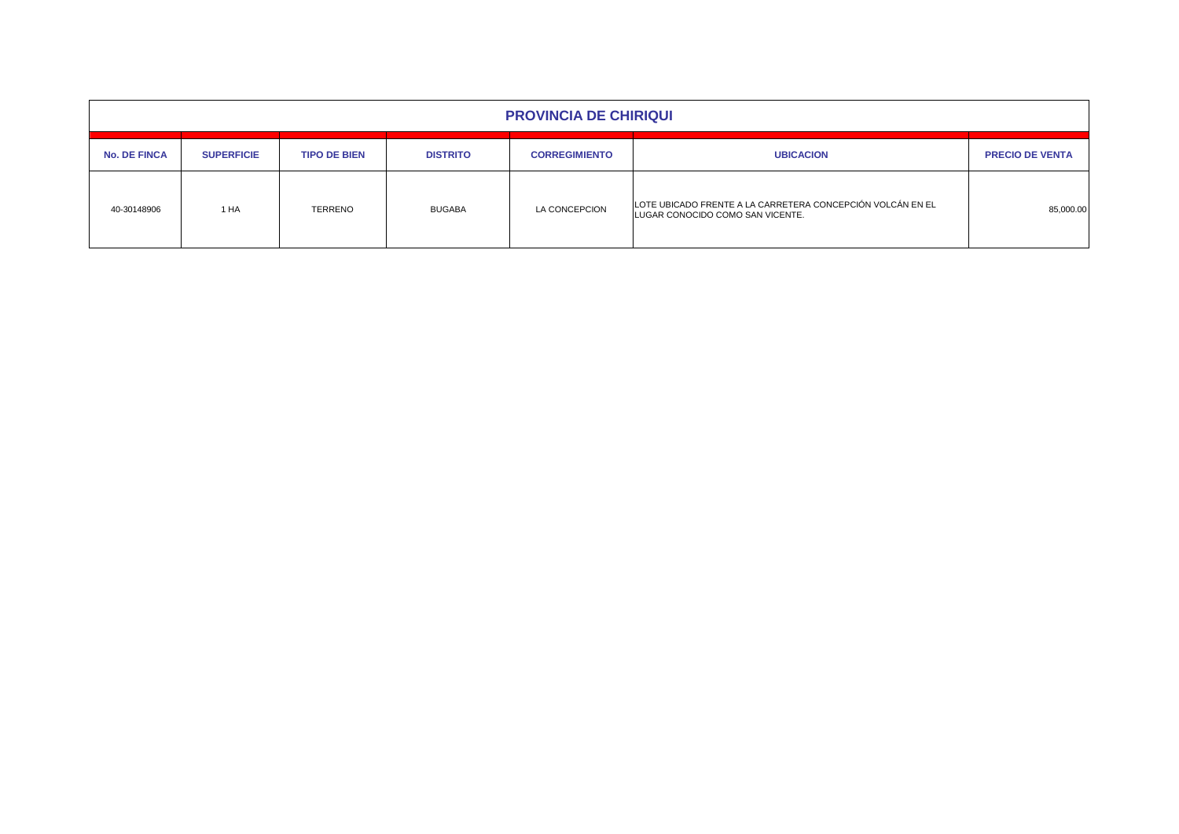| <b>PROVINCIA DE CHIRIQUI</b> |                   |                     |                 |                      |                                                                                                |                        |  |  |  |  |  |
|------------------------------|-------------------|---------------------|-----------------|----------------------|------------------------------------------------------------------------------------------------|------------------------|--|--|--|--|--|
| <b>No. DE FINCA</b>          | <b>SUPERFICIE</b> | <b>TIPO DE BIEN</b> | <b>DISTRITO</b> | <b>CORREGIMIENTO</b> | <b>UBICACION</b>                                                                               | <b>PRECIO DE VENTA</b> |  |  |  |  |  |
| 40-30148906                  | 1 HA              | <b>TERRENO</b>      | <b>BUGABA</b>   | LA CONCEPCION        | LOTE UBICADO FRENTE A LA CARRETERA CONCEPCIÓN VOLCÁN EN EL<br>LUGAR CONOCIDO COMO SAN VICENTE. | 85,000.00              |  |  |  |  |  |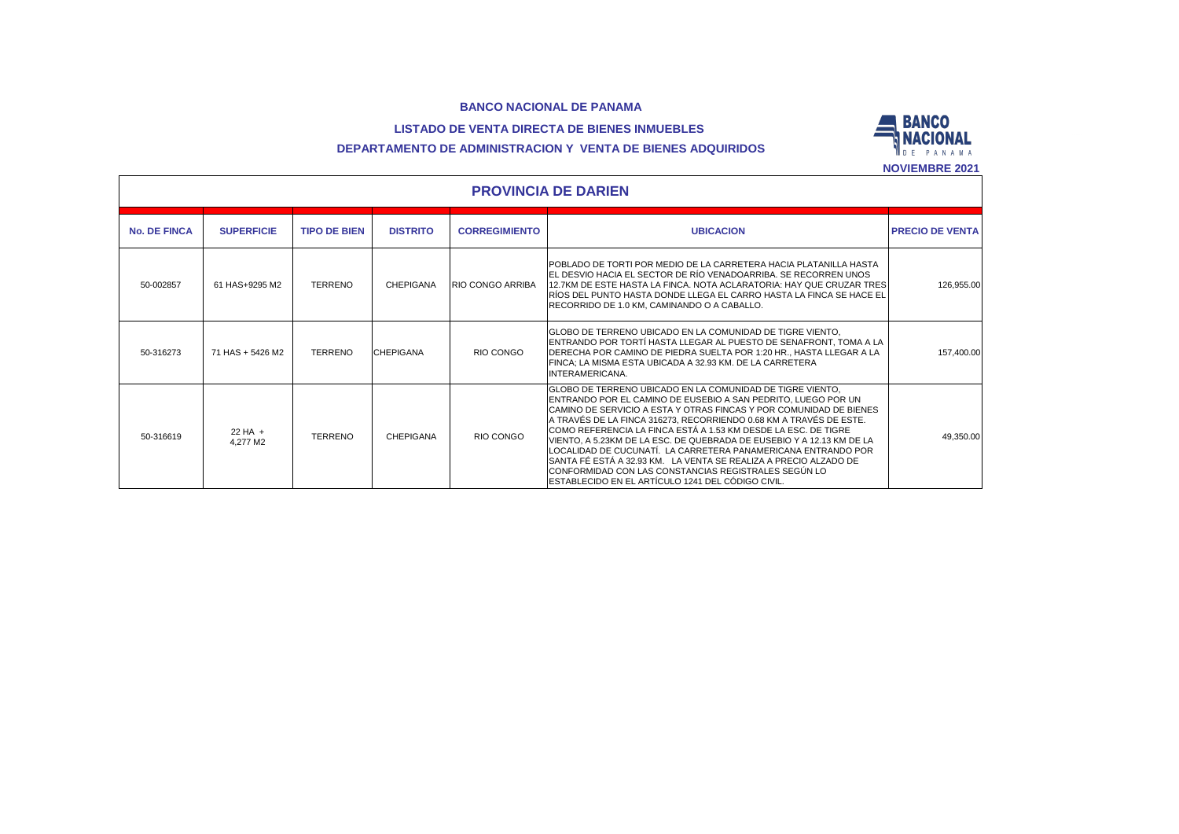## **LISTADO DE VENTA DIRECTA DE BIENES INMUEBLES**



# **DEPARTAMENTO DE ADMINISTRACION Y VENTA DE BIENES ADQUIRIDOS**

|                     | <b>INVILIVIDRE 4041</b><br><b>PROVINCIA DE DARIEN</b> |                     |                  |                         |                                                                                                                                                                                                                                                                                                                                                                                                                                                                                                                                                                                                                                                                       |                        |  |  |  |  |  |  |
|---------------------|-------------------------------------------------------|---------------------|------------------|-------------------------|-----------------------------------------------------------------------------------------------------------------------------------------------------------------------------------------------------------------------------------------------------------------------------------------------------------------------------------------------------------------------------------------------------------------------------------------------------------------------------------------------------------------------------------------------------------------------------------------------------------------------------------------------------------------------|------------------------|--|--|--|--|--|--|
| <b>No. DE FINCA</b> | <b>SUPERFICIE</b>                                     | <b>TIPO DE BIEN</b> | <b>DISTRITO</b>  | <b>CORREGIMIENTO</b>    | <b>UBICACION</b>                                                                                                                                                                                                                                                                                                                                                                                                                                                                                                                                                                                                                                                      | <b>PRECIO DE VENTA</b> |  |  |  |  |  |  |
| 50-002857           | 61 HAS+9295 M2                                        | <b>TERRENO</b>      | CHEPIGANA        | <b>RIO CONGO ARRIBA</b> | POBLADO DE TORTI POR MEDIO DE LA CARRETERA HACIA PLATANILLA HASTA<br>EL DESVIO HACIA EL SECTOR DE RÍO VENADOARRIBA. SE RECORREN UNOS<br>12.7KM DE ESTE HASTA LA FINCA, NOTA ACLARATORIA: HAY QUE CRUZAR TRES<br>IRÍOS DEL PUNTO HASTA DONDE LLEGA EL CARRO HASTA LA FINCA SE HACE EL<br>RECORRIDO DE 1.0 KM. CAMINANDO O A CABALLO.                                                                                                                                                                                                                                                                                                                                   | 126,955.00             |  |  |  |  |  |  |
| 50-316273           | 71 HAS + 5426 M2                                      | <b>TERRENO</b>      | <b>CHEPIGANA</b> | RIO CONGO               | IGLOBO DE TERRENO UBICADO EN LA COMUNIDAD DE TIGRE VIENTO.<br>ENTRANDO POR TORTÍ HASTA LLEGAR AL PUESTO DE SENAFRONT, TOMA A LA<br>IDERECHA POR CAMINO DE PIEDRA SUELTA POR 1:20 HR., HASTA LLEGAR A LA<br>FINCA: LA MISMA ESTA UBICADA A 32.93 KM. DE LA CARRETERA<br><b>INTERAMERICANA.</b>                                                                                                                                                                                                                                                                                                                                                                         | 157,400.00             |  |  |  |  |  |  |
| 50-316619           | $22 HA +$<br>4.277 M2                                 | <b>TERRENO</b>      | CHEPIGANA        | RIO CONGO               | GLOBO DE TERRENO UBICADO EN LA COMUNIDAD DE TIGRE VIENTO,<br>ENTRANDO POR EL CAMINO DE EUSEBIO A SAN PEDRITO. LUEGO POR UN<br>CAMINO DE SERVICIO A ESTA Y OTRAS FINCAS Y POR COMUNIDAD DE BIENES<br>A TRAVÉS DE LA FINCA 316273, RECORRIENDO 0.68 KM A TRAVÉS DE ESTE.<br>ICOMO REFERENCIA LA FINCA ESTÁ A 1.53 KM DESDE LA ESC. DE TIGRE<br>VIENTO. A 5.23KM DE LA ESC. DE QUEBRADA DE EUSEBIO Y A 12.13 KM DE LA<br>LOCALIDAD DE CUCUNATÍ. LA CARRETERA PANAMERICANA ENTRANDO POR<br>ISANTA FÉ ESTÁ A 32.93 KM. LA VENTA SE REALIZA A PRECIO ALZADO DE<br>CONFORMIDAD CON LAS CONSTANCIAS REGISTRALES SEGÚN LO<br>ESTABLECIDO EN EL ARTÍCULO 1241 DEL CÓDIGO CIVIL. | 49,350.00              |  |  |  |  |  |  |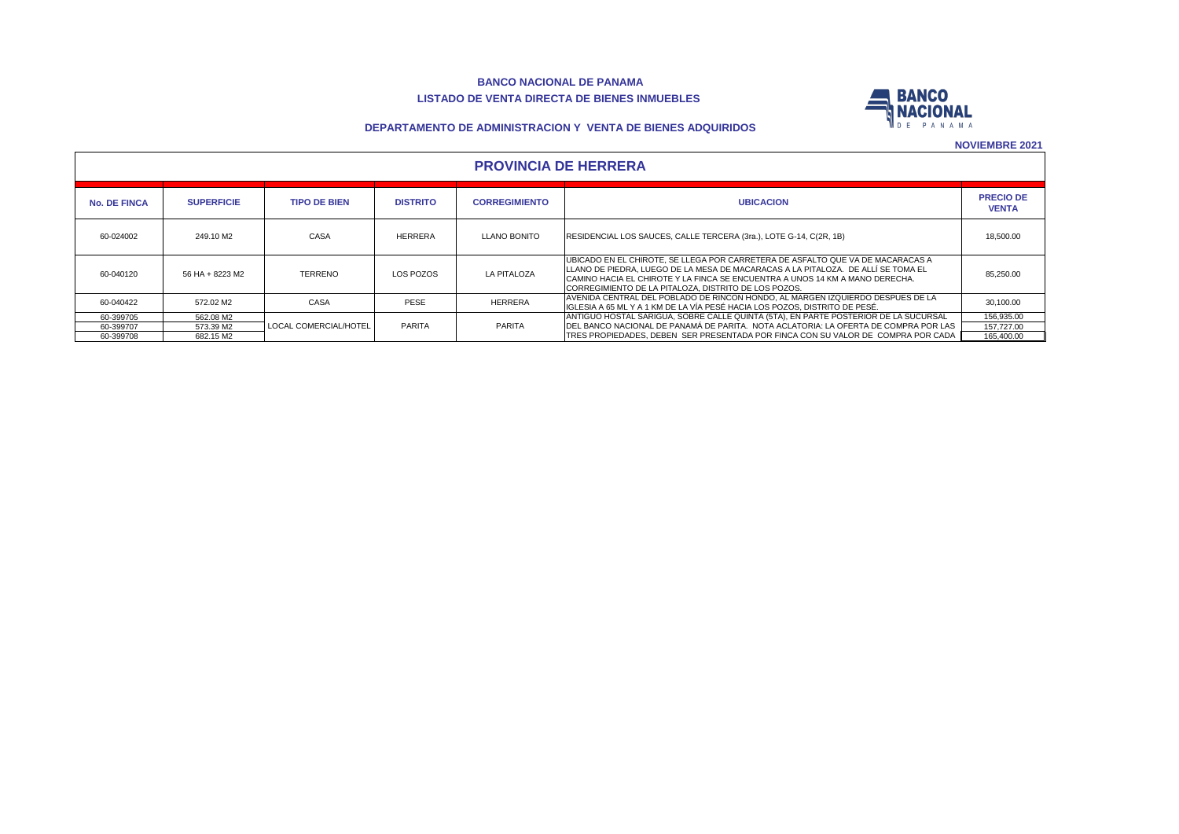#### **BANCO NACIONAL DE PANAMA LISTADO DE VENTA DIRECTA DE BIENES INMUEBLES**



#### **DEPARTAMENTO DE ADMINISTRACION Y VENTA DE BIENES ADQUIRIDOS**

|  | <b>PROVINCIA DE HERRERA</b> |
|--|-----------------------------|
|--|-----------------------------|

| <b>No. DE FINCA</b> | <b>SUPERFICIE</b> | <b>TIPO DE BIEN</b>   | <b>DISTRITO</b> | <b>CORREGIMIENTO</b> | <b>UBICACION</b>                                                                                                                                                                                                                                                                                             | <b>PRECIO DE</b><br><b>VENTA</b> |  |  |  |  |
|---------------------|-------------------|-----------------------|-----------------|----------------------|--------------------------------------------------------------------------------------------------------------------------------------------------------------------------------------------------------------------------------------------------------------------------------------------------------------|----------------------------------|--|--|--|--|
| 60-024002           | 249.10 M2         | CASA                  | <b>HERRERA</b>  | LLANO BONITO         | RESIDENCIAL LOS SAUCES, CALLE TERCERA (3ra.), LOTE G-14, C(2R, 1B)                                                                                                                                                                                                                                           | 18,500.00                        |  |  |  |  |
| 60-040120           | 56 HA + 8223 M2   | <b>TERRENO</b>        | LOS POZOS       | <b>LA PITALOZA</b>   | UBICADO EN EL CHIROTE. SE LLEGA POR CARRETERA DE ASFALTO QUE VA DE MACARACAS A<br>ILLANO DE PIEDRA. LUEGO DE LA MESA DE MACARACAS A LA PITALOZA.  DE ALLI SE TOMA EL<br>CAMINO HACIA EL CHIROTE Y LA FINCA SE ENCUENTRA A UNOS 14 KM A MANO DERECHA.<br>CORREGIMIENTO DE LA PITALOZA. DISTRITO DE LOS POZOS. | 85.250.00                        |  |  |  |  |
| 60-040422           | 572.02 M2         | CASA                  | <b>PESE</b>     | <b>HERRERA</b>       | AVENIDA CENTRAL DEL POBLADO DE RINCON HONDO. AL MARGEN IZQUIERDO DESPUES DE LA<br>IIGLESIA A 65 ML Y A 1 KM DE LA VÍA PESÉ HACIA LOS POZOS. DISTRITO DE PESÉ.                                                                                                                                                | 30.100.00                        |  |  |  |  |
| 60-399705           | 562.08 M2         |                       |                 |                      | ANTIGUO HOSTAL SARIGUA, SOBRE CALLE QUINTA (5TA), EN PARTE POSTERIOR DE LA SUCURSAL                                                                                                                                                                                                                          | 156,935.00                       |  |  |  |  |
| 60-399707           | 573.39 M2         | LOCAL COMERCIAL/HOTEL | PARITA          | PARITA               | DEL BANCO NACIONAL DE PANAMÁ DE PARITA. NOTA ACLATORIA: LA OFERTA DE COMPRA POR LAS                                                                                                                                                                                                                          | 157.727.00                       |  |  |  |  |
| 60-399708           | 682.15 M2         |                       |                 |                      | TRES PROPIEDADES. DEBEN SER PRESENTADA POR FINCA CON SU VALOR DE COMPRA POR CADA                                                                                                                                                                                                                             | 165,400.00                       |  |  |  |  |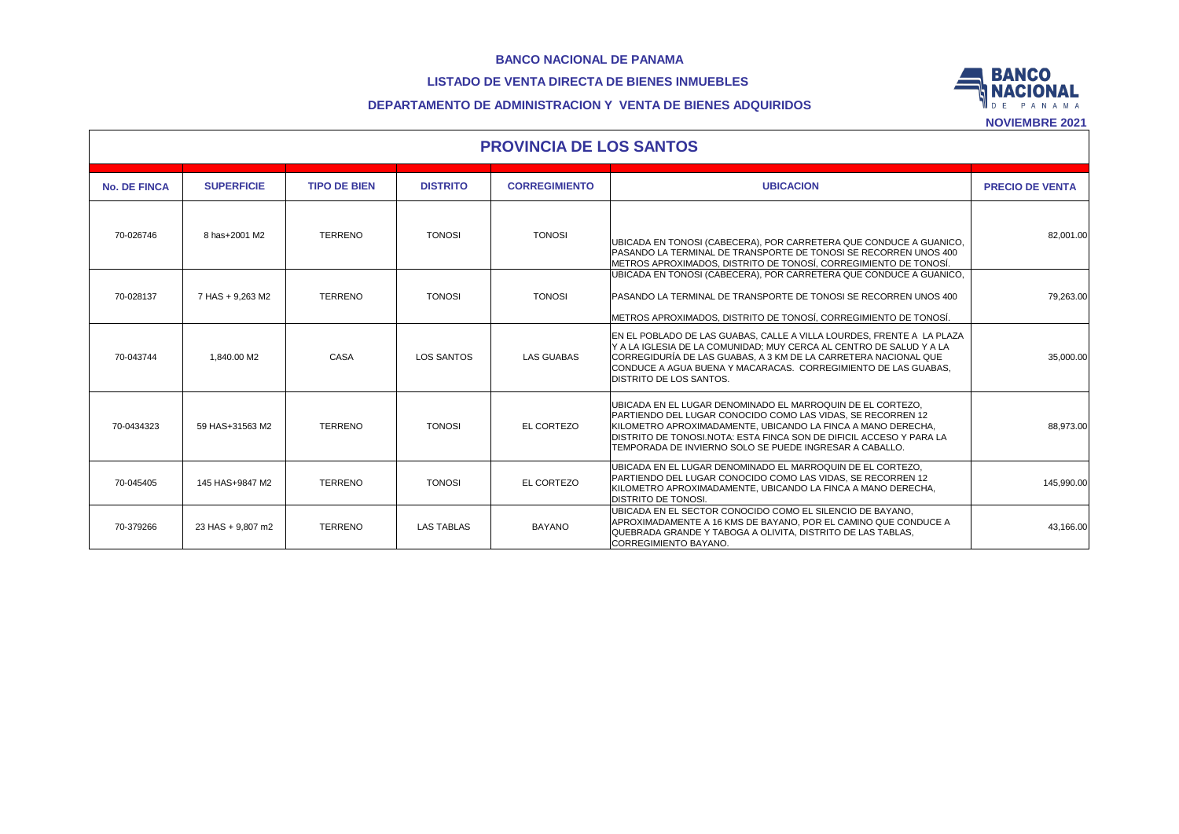## **LISTADO DE VENTA DIRECTA DE BIENES INMUEBLES**



## **DEPARTAMENTO DE ADMINISTRACION Y VENTA DE BIENES ADQUIRIDOS**

|                     | <b>PROVINCIA DE LOS SANTOS</b> |                     |                   |                      |                                                                                                                                                                                                                                                                                                                             |                        |  |  |  |  |  |  |
|---------------------|--------------------------------|---------------------|-------------------|----------------------|-----------------------------------------------------------------------------------------------------------------------------------------------------------------------------------------------------------------------------------------------------------------------------------------------------------------------------|------------------------|--|--|--|--|--|--|
| <b>No. DE FINCA</b> | <b>SUPERFICIE</b>              | <b>TIPO DE BIEN</b> | <b>DISTRITO</b>   | <b>CORREGIMIENTO</b> | <b>UBICACION</b>                                                                                                                                                                                                                                                                                                            | <b>PRECIO DE VENTA</b> |  |  |  |  |  |  |
| 70-026746           | 8 has+2001 M2                  | <b>TERRENO</b>      | <b>TONOSI</b>     | <b>TONOSI</b>        | UBICADA EN TONOSI (CABECERA), POR CARRETERA QUE CONDUCE A GUANICO,<br>PASANDO LA TERMINAL DE TRANSPORTE DE TONOSI SE RECORREN UNOS 400<br>METROS APROXIMADOS. DISTRITO DE TONOSÍ. CORREGIMIENTO DE TONOSÍ.                                                                                                                  | 82,001.00              |  |  |  |  |  |  |
| 70-028137           | 7 HAS + 9,263 M2               | <b>TERRENO</b>      | <b>TONOSI</b>     | <b>TONOSI</b>        | UBICADA EN TONOSI (CABECERA), POR CARRETERA QUE CONDUCE A GUANICO,<br>PASANDO LA TERMINAL DE TRANSPORTE DE TONOSI SE RECORREN UNOS 400<br>METROS APROXIMADOS. DISTRITO DE TONOSÍ. CORREGIMIENTO DE TONOSÍ.                                                                                                                  | 79,263.00              |  |  |  |  |  |  |
| 70-043744           | 1.840.00 M2                    | CASA                | LOS SANTOS        | <b>LAS GUABAS</b>    | EN EL POBLADO DE LAS GUABAS. CALLE A VILLA LOURDES. FRENTE A LA PLAZA<br>Y A LA IGLESIA DE LA COMUNIDAD: MUY CERCA AL CENTRO DE SALUD Y A LA<br>CORREGIDURÍA DE LAS GUABAS. A 3 KM DE LA CARRETERA NACIONAL QUE<br>CONDUCE A AGUA BUENA Y MACARACAS. CORREGIMIENTO DE LAS GUABAS.<br><b>DISTRITO DE LOS SANTOS.</b>         | 35,000.00              |  |  |  |  |  |  |
| 70-0434323          | 59 HAS+31563 M2                | <b>TERRENO</b>      | <b>TONOSI</b>     | EL CORTEZO           | UBICADA EN EL LUGAR DENOMINADO EL MARROQUIN DE EL CORTEZO.<br>PARTIENDO DEL LUGAR CONOCIDO COMO LAS VIDAS. SE RECORREN 12<br>KILOMETRO APROXIMADAMENTE. UBICANDO LA FINCA A MANO DERECHA.<br>DISTRITO DE TONOSI.NOTA: ESTA FINCA SON DE DIFICIL ACCESO Y PARA LA<br>TEMPORADA DE INVIERNO SOLO SE PUEDE INGRESAR A CABALLO. | 88,973.00              |  |  |  |  |  |  |
| 70-045405           | 145 HAS+9847 M2                | <b>TERRENO</b>      | <b>TONOSI</b>     | EL CORTEZO           | UBICADA EN EL LUGAR DENOMINADO EL MARROQUIN DE EL CORTEZO.<br>PARTIENDO DEL LUGAR CONOCIDO COMO LAS VIDAS, SE RECORREN 12<br>KILOMETRO APROXIMADAMENTE. UBICANDO LA FINCA A MANO DERECHA.<br><b>DISTRITO DE TONOSI.</b>                                                                                                     | 145,990.00             |  |  |  |  |  |  |
| 70-379266           | 23 HAS + 9.807 m2              | <b>TERRENO</b>      | <b>LAS TABLAS</b> | <b>BAYANO</b>        | UBICADA EN EL SECTOR CONOCIDO COMO EL SILENCIO DE BAYANO,<br>APROXIMADAMENTE A 16 KMS DE BAYANO. POR EL CAMINO QUE CONDUCE A<br>QUEBRADA GRANDE Y TABOGA A OLIVITA. DISTRITO DE LAS TABLAS.<br>CORREGIMIENTO BAYANO.                                                                                                        | 43,166.00              |  |  |  |  |  |  |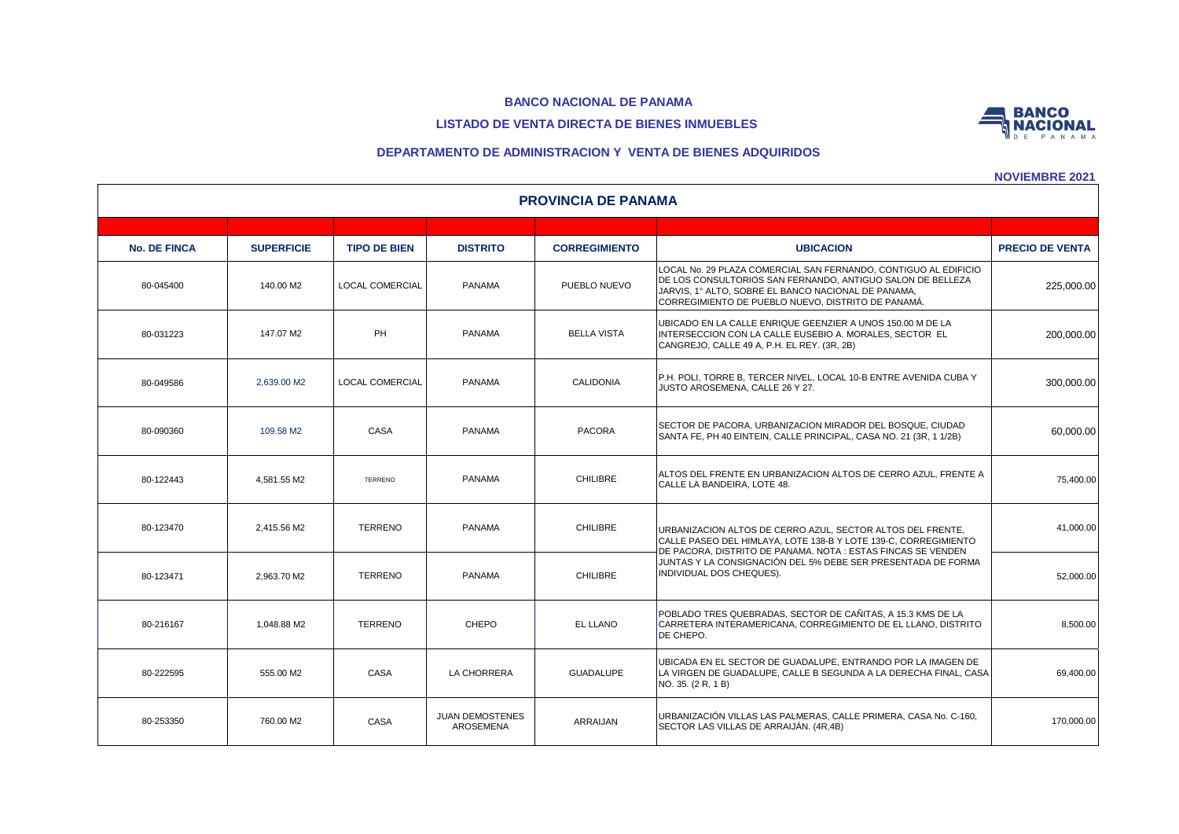# **LISTADO DE VENTA DIRECTA DE BIENES INMUEBLES**



**NOVIEMBRE 2021**

**BANCO NACIONAL** 

| <b>PROVINCIA DE PANAMA</b> |                   |                        |                                     |                      |                                                                                                                                                                                                                                            |                        |  |  |  |  |  |
|----------------------------|-------------------|------------------------|-------------------------------------|----------------------|--------------------------------------------------------------------------------------------------------------------------------------------------------------------------------------------------------------------------------------------|------------------------|--|--|--|--|--|
|                            |                   |                        |                                     |                      |                                                                                                                                                                                                                                            |                        |  |  |  |  |  |
| <b>No. DE FINCA</b>        | <b>SUPERFICIE</b> | <b>TIPO DE BIEN</b>    | <b>DISTRITO</b>                     | <b>CORREGIMIENTO</b> | <b>UBICACION</b>                                                                                                                                                                                                                           | <b>PRECIO DE VENTA</b> |  |  |  |  |  |
| 80-045400                  | 140.00 M2         | <b>LOCAL COMERCIAL</b> | <b>PANAMA</b>                       | PUEBLO NUEVO         | LOCAL No. 29 PLAZA COMERCIAL SAN FERNANDO, CONTIGUO AL EDIFICIO<br>DE LOS CONSULTORIOS SAN FERNANDO, ANTIGUO SALON DE BELLEZA<br>JARVIS, 1º ALTO, SOBRE EL BANCO NACIONAL DE PANAMA,<br>CORREGIMIENTO DE PUEBLO NUEVO, DISTRITO DE PANAMÁ. | 225,000.00             |  |  |  |  |  |
| 80-031223                  | 147.07 M2         | PH                     | <b>PANAMA</b>                       | <b>BELLA VISTA</b>   | UBICADO EN LA CALLE ENRIQUE GEENZIER A UNOS 150.00 M DE LA<br>INTERSECCION CON LA CALLE EUSEBIO A. MORALES, SECTOR EL<br>CANGREJO, CALLE 49 A, P.H. EL REY. (3R, 2B)                                                                       | 200,000.00             |  |  |  |  |  |
| 80-049586                  | 2.639.00 M2       | LOCAL COMERCIAL        | <b>PANAMA</b>                       | <b>CALIDONIA</b>     | P.H. POLI, TORRE B, TERCER NIVEL, LOCAL 10-B ENTRE AVENIDA CUBA Y<br>JUSTO AROSEMENA, CALLE 26 Y 27.                                                                                                                                       | 300,000.00             |  |  |  |  |  |
| 80-090360                  | 109.58 M2         | CASA                   | <b>PANAMA</b>                       | <b>PACORA</b>        | SECTOR DE PACORA, URBANIZACION MIRADOR DEL BOSQUE, CIUDAD<br>SANTA FE, PH 40 EINTEIN, CALLE PRINCIPAL, CASA NO. 21 (3R, 1 1/2B)                                                                                                            | 60,000.00              |  |  |  |  |  |
| 80-122443                  | 4.581.55 M2       | TERRENO                | <b>PANAMA</b>                       | <b>CHILIBRE</b>      | ALTOS DEL FRENTE EN URBANIZACION ALTOS DE CERRO AZUL, FRENTE A<br>CALLE LA BANDEIRA, LOTE 48.                                                                                                                                              | 75,400.00              |  |  |  |  |  |
| 80-123470                  | 2.415.56 M2       | <b>TERRENO</b>         | <b>PANAMA</b>                       | <b>CHILIBRE</b>      | URBANIZACION ALTOS DE CERRO AZUL, SECTOR ALTOS DEL FRENTE,<br>CALLE PASEO DEL HIMLAYA, LOTE 138-B Y LOTE 139-C, CORREGIMIENTO<br>DE PACORA. DISTRITO DE PANAMA. NOTA : ESTAS FINCAS SE VENDEN                                              | 41,000.00              |  |  |  |  |  |
| 80-123471                  | 2.963.70 M2       | <b>TERRENO</b>         | <b>PANAMA</b>                       | <b>CHILIBRE</b>      | JUNTAS Y LA CONSIGNACIÓN DEL 5% DEBE SER PRESENTADA DE FORMA<br>INDIVIDUAL DOS CHEQUES).                                                                                                                                                   | 52,000.00              |  |  |  |  |  |
| 80-216167                  | 1.048.88 M2       | <b>TERRENO</b>         | CHEPO                               | EL LLANO             | POBLADO TRES QUEBRADAS. SECTOR DE CAÑITAS. A 15.3 KMS DE LA<br>CARRETERA INTERAMERICANA, CORREGIMIENTO DE EL LLANO, DISTRITO<br>DE CHEPO.                                                                                                  | 8,500.00               |  |  |  |  |  |
| 80-222595                  | 555.00 M2         | CASA                   | LA CHORRERA                         | <b>GUADALUPE</b>     | UBICADA EN EL SECTOR DE GUADALUPE. ENTRANDO POR LA IMAGEN DE<br>LA VIRGEN DE GUADALUPE, CALLE B SEGUNDA A LA DERECHA FINAL, CASA<br>NO. 35. (2 R, 1 B)                                                                                     | 69,400.00              |  |  |  |  |  |
| 80-253350                  | 760.00 M2         | CASA                   | <b>JUAN DEMOSTENES</b><br>AROSEMENA | <b>ARRAIJAN</b>      | URBANIZACIÓN VILLAS LAS PALMERAS, CALLE PRIMERA, CASA No. C-160,<br>SECTOR LAS VILLAS DE ARRAIJÁN. (4R.4B)                                                                                                                                 | 170,000.00             |  |  |  |  |  |